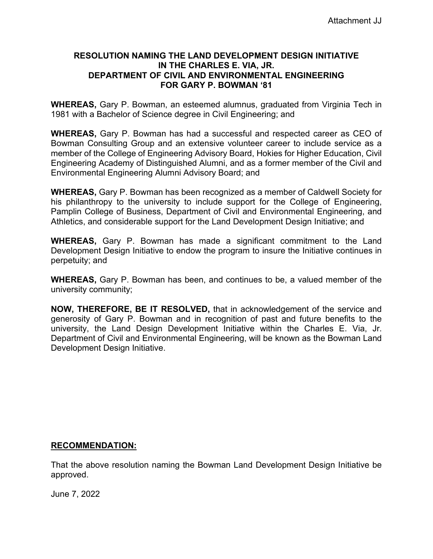### **RESOLUTION NAMING THE LAND DEVELOPMENT DESIGN INITIATIVE IN THE CHARLES E. VIA, JR. DEPARTMENT OF CIVIL AND ENVIRONMENTAL ENGINEERING FOR GARY P. BOWMAN '81**

**WHEREAS,** Gary P. Bowman, an esteemed alumnus, graduated from Virginia Tech in 1981 with a Bachelor of Science degree in Civil Engineering; and

**WHEREAS,** Gary P. Bowman has had a successful and respected career as CEO of Bowman Consulting Group and an extensive volunteer career to include service as a member of the College of Engineering Advisory Board, Hokies for Higher Education, Civil Engineering Academy of Distinguished Alumni, and as a former member of the Civil and Environmental Engineering Alumni Advisory Board; and

**WHEREAS,** Gary P. Bowman has been recognized as a member of Caldwell Society for his philanthropy to the university to include support for the College of Engineering, Pamplin College of Business, Department of Civil and Environmental Engineering, and Athletics, and considerable support for the Land Development Design Initiative; and

**WHEREAS,** Gary P. Bowman has made a significant commitment to the Land Development Design Initiative to endow the program to insure the Initiative continues in perpetuity; and

**WHEREAS,** Gary P. Bowman has been, and continues to be, a valued member of the university community;

**NOW, THEREFORE, BE IT RESOLVED,** that in acknowledgement of the service and generosity of Gary P. Bowman and in recognition of past and future benefits to the university, the Land Design Development Initiative within the Charles E. Via, Jr. Department of Civil and Environmental Engineering, will be known as the Bowman Land Development Design Initiative.

# **RECOMMENDATION:**

That the above resolution naming the Bowman Land Development Design Initiative be approved.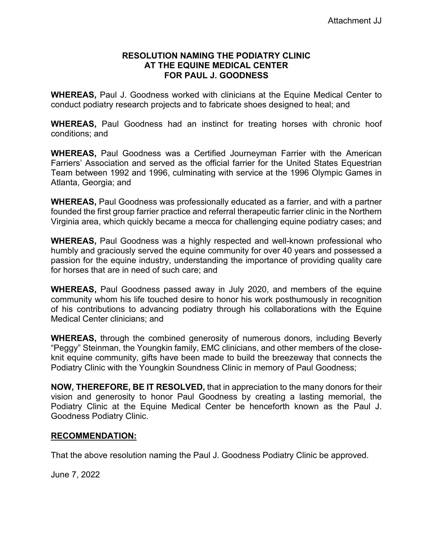## **RESOLUTION NAMING THE PODIATRY CLINIC AT THE EQUINE MEDICAL CENTER FOR PAUL J. GOODNESS**

**WHEREAS,** Paul J. Goodness worked with clinicians at the Equine Medical Center to conduct podiatry research projects and to fabricate shoes designed to heal; and

**WHEREAS,** Paul Goodness had an instinct for treating horses with chronic hoof conditions; and

**WHEREAS,** Paul Goodness was a Certified Journeyman Farrier with the American Farriers' Association and served as the official farrier for the United States Equestrian Team between 1992 and 1996, culminating with service at the 1996 Olympic Games in Atlanta, Georgia; and

**WHEREAS,** Paul Goodness was professionally educated as a farrier, and with a partner founded the first group farrier practice and referral therapeutic farrier clinic in the Northern Virginia area, which quickly became a mecca for challenging equine podiatry cases; and

**WHEREAS,** Paul Goodness was a highly respected and well-known professional who humbly and graciously served the equine community for over 40 years and possessed a passion for the equine industry, understanding the importance of providing quality care for horses that are in need of such care; and

**WHEREAS,** Paul Goodness passed away in July 2020, and members of the equine community whom his life touched desire to honor his work posthumously in recognition of his contributions to advancing podiatry through his collaborations with the Equine Medical Center clinicians; and

**WHEREAS,** through the combined generosity of numerous donors, including Beverly "Peggy" Steinman, the Youngkin family, EMC clinicians, and other members of the closeknit equine community, gifts have been made to build the breezeway that connects the Podiatry Clinic with the Youngkin Soundness Clinic in memory of Paul Goodness;

**NOW, THEREFORE, BE IT RESOLVED,** that in appreciation to the many donors for their vision and generosity to honor Paul Goodness by creating a lasting memorial, the Podiatry Clinic at the Equine Medical Center be henceforth known as the Paul J. Goodness Podiatry Clinic.

# **RECOMMENDATION:**

That the above resolution naming the Paul J. Goodness Podiatry Clinic be approved.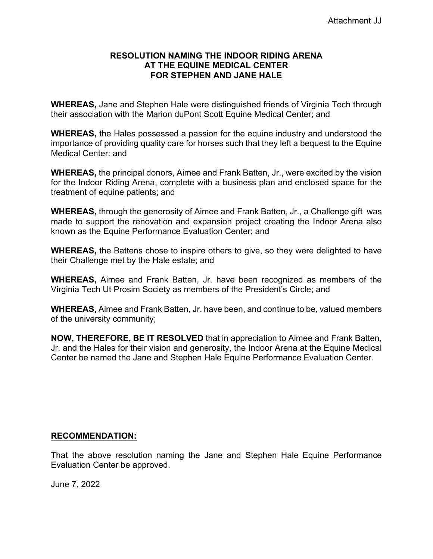## **RESOLUTION NAMING THE INDOOR RIDING ARENA AT THE EQUINE MEDICAL CENTER FOR STEPHEN AND JANE HALE**

**WHEREAS,** Jane and Stephen Hale were distinguished friends of Virginia Tech through their association with the Marion duPont Scott Equine Medical Center; and

**WHEREAS,** the Hales possessed a passion for the equine industry and understood the importance of providing quality care for horses such that they left a bequest to the Equine Medical Center: and

**WHEREAS,** the principal donors, Aimee and Frank Batten, Jr., were excited by the vision for the Indoor Riding Arena, complete with a business plan and enclosed space for the treatment of equine patients; and

**WHEREAS,** through the generosity of Aimee and Frank Batten, Jr., a Challenge gift was made to support the renovation and expansion project creating the Indoor Arena also known as the Equine Performance Evaluation Center; and

**WHEREAS,** the Battens chose to inspire others to give, so they were delighted to have their Challenge met by the Hale estate; and

**WHEREAS,** Aimee and Frank Batten, Jr. have been recognized as members of the Virginia Tech Ut Prosim Society as members of the President's Circle; and

**WHEREAS,** Aimee and Frank Batten, Jr. have been, and continue to be, valued members of the university community;

**NOW, THEREFORE, BE IT RESOLVED** that in appreciation to Aimee and Frank Batten, Jr. and the Hales for their vision and generosity, the Indoor Arena at the Equine Medical Center be named the Jane and Stephen Hale Equine Performance Evaluation Center.

# **RECOMMENDATION:**

That the above resolution naming the Jane and Stephen Hale Equine Performance Evaluation Center be approved.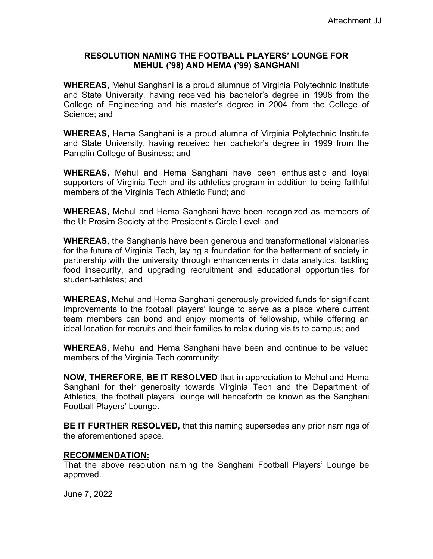## **RESOLUTION NAMING THE FOOTBALL PLAYERS' LOUNGE FOR MEHUL ('98) AND HEMA ('99) SANGHANI**

**WHEREAS,** Mehul Sanghani is a proud alumnus of Virginia Polytechnic Institute and State University, having received his bachelor's degree in 1998 from the College of Engineering and his master's degree in 2004 from the College of Science; and

**WHEREAS,** Hema Sanghani is a proud alumna of Virginia Polytechnic Institute and State University, having received her bachelor's degree in 1999 from the Pamplin College of Business; and

**WHEREAS,** Mehul and Hema Sanghani have been enthusiastic and loyal supporters of Virginia Tech and its athletics program in addition to being faithful members of the Virginia Tech Athletic Fund; and

**WHEREAS,** Mehul and Hema Sanghani have been recognized as members of the Ut Prosim Society at the President's Circle Level; and

**WHEREAS,** the Sanghanis have been generous and transformational visionaries for the future of Virginia Tech, laying a foundation for the betterment of society in partnership with the university through enhancements in data analytics, tackling food insecurity, and upgrading recruitment and educational opportunities for student-athletes; and

**WHEREAS,** Mehul and Hema Sanghani generously provided funds for significant improvements to the football players' lounge to serve as a place where current team members can bond and enjoy moments of fellowship, while offering an ideal location for recruits and their families to relax during visits to campus; and

**WHEREAS,** Mehul and Hema Sanghani have been and continue to be valued members of the Virginia Tech community;

**NOW, THEREFORE, BE IT RESOLVED** that in appreciation to Mehul and Hema Sanghani for their generosity towards Virginia Tech and the Department of Athletics, the football players' lounge will henceforth be known as the Sanghani Football Players' Lounge.

**BE IT FURTHER RESOLVED,** that this naming supersedes any prior namings of the aforementioned space.

# **RECOMMENDATION:**

That the above resolution naming the Sanghani Football Players' Lounge be approved.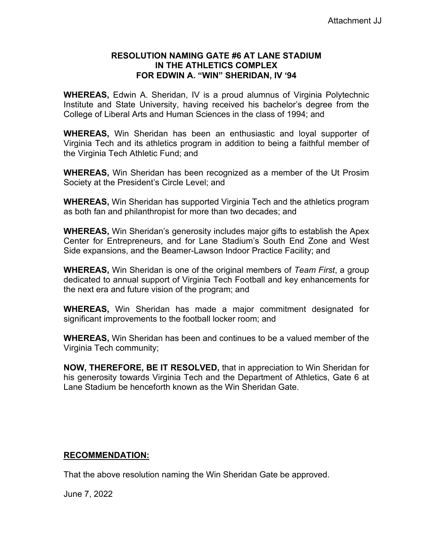# **RESOLUTION NAMING GATE #6 AT LANE STADIUM IN THE ATHLETICS COMPLEX FOR EDWIN A. "WIN" SHERIDAN, IV '94**

**WHEREAS,** Edwin A. Sheridan, IV is a proud alumnus of Virginia Polytechnic Institute and State University, having received his bachelor's degree from the College of Liberal Arts and Human Sciences in the class of 1994; and

**WHEREAS,** Win Sheridan has been an enthusiastic and loyal supporter of Virginia Tech and its athletics program in addition to being a faithful member of the Virginia Tech Athletic Fund; and

**WHEREAS,** Win Sheridan has been recognized as a member of the Ut Prosim Society at the President's Circle Level; and

**WHEREAS,** Win Sheridan has supported Virginia Tech and the athletics program as both fan and philanthropist for more than two decades; and

**WHEREAS,** Win Sheridan's generosity includes major gifts to establish the Apex Center for Entrepreneurs, and for Lane Stadium's South End Zone and West Side expansions, and the Beamer-Lawson Indoor Practice Facility; and

**WHEREAS,** Win Sheridan is one of the original members of *Team First*, a group dedicated to annual support of Virginia Tech Football and key enhancements for the next era and future vision of the program; and

**WHEREAS,** Win Sheridan has made a major commitment designated for significant improvements to the football locker room; and

**WHEREAS,** Win Sheridan has been and continues to be a valued member of the Virginia Tech community;

**NOW, THEREFORE, BE IT RESOLVED,** that in appreciation to Win Sheridan for his generosity towards Virginia Tech and the Department of Athletics, Gate 6 at Lane Stadium be henceforth known as the Win Sheridan Gate.

# **RECOMMENDATION:**

That the above resolution naming the Win Sheridan Gate be approved.